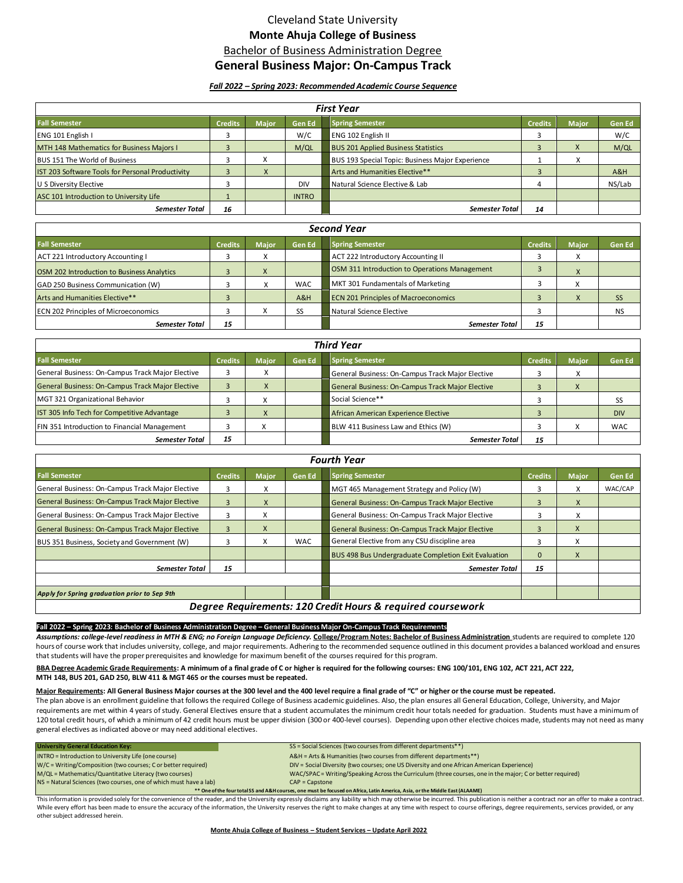# Cleveland State University **Monte Ahuja College of Business** Bachelor of Business Administration Degree

## **General Business Major: On-Campus Track**

## *Fall 2022 – Spring 2023: Recommended Academic Course Sequence*

| <b>First Year</b>                                |                |              |               |                                                  |                |              |        |
|--------------------------------------------------|----------------|--------------|---------------|--------------------------------------------------|----------------|--------------|--------|
| <b>Fall Semester</b>                             | <b>Credits</b> | <b>Maior</b> | <b>Gen Ed</b> | <b>Spring Semester</b>                           | <b>Credits</b> | <b>Major</b> | Gen Ed |
| ENG 101 English I                                |                |              | W/C           | ENG 102 English II                               |                |              | W/C    |
| MTH 148 Mathematics for Business Majors I        |                |              | M/QL          | <b>BUS 201 Applied Business Statistics</b>       |                |              | M/QL   |
| BUS 151 The World of Business                    |                | X            |               | BUS 193 Special Topic: Business Major Experience |                | ∧            |        |
| IST 203 Software Tools for Personal Productivity |                | X            |               | Arts and Humanities Elective**                   |                |              | A&H    |
| U S Diversity Elective                           |                |              | <b>DIV</b>    | Natural Science Elective & Lab                   | 4              |              | NS/Lab |
| ASC 101 Introduction to University Life          |                |              | <b>INTRO</b>  |                                                  |                |              |        |
| <b>Semester Total</b>                            | 16             |              |               | <b>Semester Total</b>                            | 14             |              |        |

| <b>Second Year</b>                          |                |              |               |                                               |                |              |               |
|---------------------------------------------|----------------|--------------|---------------|-----------------------------------------------|----------------|--------------|---------------|
| <b>Fall Semester</b>                        | <b>Credits</b> | <b>Major</b> | <b>Gen Ed</b> | <b>Spring Semester</b>                        | <b>Credits</b> | <b>Major</b> | <b>Gen Ed</b> |
| <b>ACT 221 Introductory Accounting I</b>    |                | $\sim$       |               | ACT 222 Introductory Accounting II            |                |              |               |
| OSM 202 Introduction to Business Analytics  |                | $\lambda$    |               | OSM 311 Introduction to Operations Management |                |              |               |
| GAD 250 Business Communication (W)          |                | X            | <b>WAC</b>    | MKT 301 Fundamentals of Marketing             |                |              |               |
| Arts and Humanities Elective**              |                |              | A&H           | <b>ECN 201 Principles of Macroeconomics</b>   |                | $\Lambda$    | SS            |
| <b>ECN 202 Principles of Microeconomics</b> |                | X            | SS            | Natural Science Elective                      |                |              | <b>NS</b>     |
| <b>Semester Total</b>                       | 15             |              |               | <b>Semester Total</b>                         | 15             |              |               |

| <b>Third Year</b>                                |                |              |               |                                                  |                |              |               |
|--------------------------------------------------|----------------|--------------|---------------|--------------------------------------------------|----------------|--------------|---------------|
| <b>Fall Semester</b>                             | <b>Credits</b> | <b>Maior</b> | <b>Gen Ed</b> | <b>Spring Semester</b>                           | <b>Credits</b> | <b>Maior</b> | <b>Gen Ed</b> |
| General Business: On-Campus Track Major Elective |                | $\lambda$    |               | General Business: On-Campus Track Major Elective |                | $\sim$       |               |
| General Business: On-Campus Track Major Elective |                | X            |               | General Business: On-Campus Track Major Elective |                | $\Lambda$    |               |
| MGT 321 Organizational Behavior                  |                | $\lambda$    |               | Social Science**                                 |                |              | SS            |
| IST 305 Info Tech for Competitive Advantage      |                | X            |               | African American Experience Elective             |                |              | <b>DIV</b>    |
| FIN 351 Introduction to Financial Management     |                | v            |               | BLW 411 Business Law and Ethics (W)              |                |              | <b>WAC</b>    |
| <b>Semester Total</b>                            | 15             |              |               | <b>Semester Total</b>                            | 15             |              |               |

| <b>Fourth Year</b>                                          |                |              |               |                                                             |                |              |         |  |
|-------------------------------------------------------------|----------------|--------------|---------------|-------------------------------------------------------------|----------------|--------------|---------|--|
| <b>Fall Semester</b>                                        | <b>Credits</b> | <b>Major</b> | <b>Gen Ed</b> | <b>Spring Semester</b>                                      | <b>Credits</b> | <b>Major</b> | Gen Ed  |  |
| General Business: On-Campus Track Major Elective            | 3.             | X            |               | MGT 465 Management Strategy and Policy (W)                  | 3              | x            | WAC/CAP |  |
| General Business: On-Campus Track Major Elective            | 3              | X            |               | General Business: On-Campus Track Major Elective            | 3              | X            |         |  |
| General Business: On-Campus Track Major Elective            |                | X            |               | General Business: On-Campus Track Major Elective            |                | ⋏            |         |  |
| General Business: On-Campus Track Major Elective            | к.             | $\mathsf{X}$ |               | General Business: On-Campus Track Major Elective            | B              | X            |         |  |
| BUS 351 Business, Society and Government (W)                |                | X            | <b>WAC</b>    | General Elective from any CSU discipline area               | 3              | X            |         |  |
|                                                             |                |              |               | <b>BUS 498 Bus Undergraduate Completion Exit Evaluation</b> | $\Omega$       | X            |         |  |
| Semester Total                                              | 15             |              |               | Semester Total                                              | 15             |              |         |  |
|                                                             |                |              |               |                                                             |                |              |         |  |
| Apply for Spring graduation prior to Sep 9th                |                |              |               |                                                             |                |              |         |  |
| Degree Requirements: 120 Credit Hours & required coursework |                |              |               |                                                             |                |              |         |  |

### **Fall 2022 – Spring 2023: Bachelor of Business Administration Degree – General Business Major On-Campus Track Requirements**

*Assumptions: college-level readiness in MTH & ENG; no Foreign Language Deficiency.* **College/Program Notes: Bachelor of Business Administration** students are required to complete 120 hours of course work that includes university, college, and major requirements. Adhering to the recommended sequence outlined in this document provides a balanced workload and ensures that students will have the proper prerequisites and knowledge for maximum benefit of the courses required for this program.

BBA Degree Academic Grade Requirements: A minimum of a final grade of C or higher is required for the following courses: ENG 100/101, ENG 102, ACT 221, ACT 222,  **MTH 148, BUS 201, GAD 250, BLW 411 & MGT 465 or the courses must be repeated.** 

## **Major Requirements: All General Business Major courses at the 300 level and the 400 level require a final grade of "C" or higher or the course must be repeated.**

The plan above is an enrollment guideline that follows the required College of Business academic guidelines. Also, the plan ensures all General Education, College, University, and Major requirements are met within 4 years of study. General Electives ensure that a student accumulates the minimum credit hour totals needed for graduation. Students must have a minimum of 120 total credit hours, of which a minimum of 42 credit hours must be upper division (300 or 400-level courses). Depending upon other elective choices made, students may not need as many general electives as indicated above or may need additional electives.

| University General Education Key:                                                                                            | SS = Social Sciences (two courses from different departments**)                                           |  |  |  |
|------------------------------------------------------------------------------------------------------------------------------|-----------------------------------------------------------------------------------------------------------|--|--|--|
| INTRO = Introduction to University Life (one course)                                                                         | A&H = Arts & Humanities (two courses from different departments**)                                        |  |  |  |
| W/C = Writing/Composition (two courses; C or better required)                                                                | DIV = Social Diversity (two courses; one US Diversity and one African American Experience)                |  |  |  |
| M/QL = Mathematics/Quantitative Literacy (two courses)                                                                       | WAC/SPAC = Writing/Speaking Across the Curriculum (three courses, one in the major; C or better required) |  |  |  |
| NS = Natural Sciences (two courses, one of which must have a lab)                                                            | $CAP = \text{Capstone}$                                                                                   |  |  |  |
| ** One of the four total SS and A&H courses, one must be focused on Africa, Latin America, Asia, or the Middle East (ALAAME) |                                                                                                           |  |  |  |

This information is provided solely for the convenience of the reader, and the University expressly disclaims any liability which may otherwise be incurred. This publication is neither a contract nor an offer to make a con While every effort has been made to ensure the accuracy of the information, the University reserves the right to make changes at any time with respect to course offerings, degree requirements, services provided, or any other subject addressed herein.

### **Monte Ahuja College of Business – Student Services – Update April 2022**